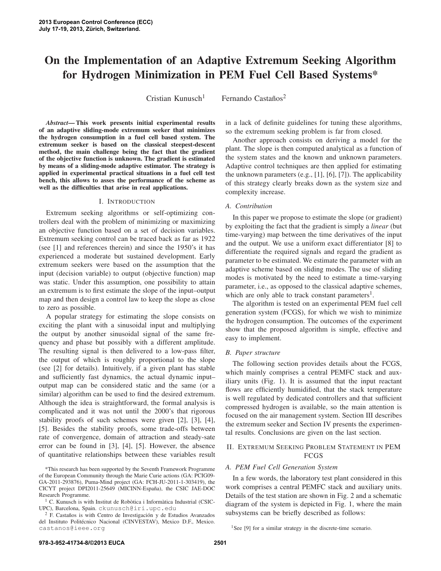# **On the Implementation of an Adaptive Extremum Seeking Algorithm for Hydrogen Minimization in PEM Fuel Cell Based Systems\***

Cristian Kunusch<sup>1</sup> Fernando Castaños<sup>2</sup>

*Abstract***— This work presents initial experimental results of an adaptive sliding-mode extremum seeker that minimizes the hydrogen consumption in a fuel cell based system. The extremum seeker is based on the classical steepest-descent method, the main challenge being the fact that the gradient of the objective function is unknown. The gradient is estimated by means of a sliding-mode adaptive estimator. The strategy is applied in experimental practical situations in a fuel cell test bench, this allows to asses the performance of the scheme as well as the difficulties that arise in real applications.**

## I. INTRODUCTION

Extremum seeking algorithms or self-optimizing controllers deal with the problem of minimizing or maximizing an objective function based on a set of decision variables. Extremum seeking control can be traced back as far as 1922 (see [1] and references therein) and since the 1950's it has experienced a moderate but sustained development. Early extremum seekers were based on the assumption that the input (decision variable) to output (objective function) map was static. Under this assumption, one possibility to attain an extremum is to first estimate the slope of the input–output map and then design a control law to keep the slope as close to zero as possible.

A popular strategy for estimating the slope consists on exciting the plant with a sinusoidal input and multiplying the output by another sinusoidal signal of the same frequency and phase but possibly with a different amplitude. The resulting signal is then delivered to a low-pass filter, the output of which is roughly proportional to the slope (see [2] for details). Intuitively, if a given plant has stable and sufficiently fast dynamics, the actual dynamic input– output map can be considered static and the same (or a similar) algorithm can be used to find the desired extremum. Although the idea is straightforward, the formal analysis is complicated and it was not until the 2000's that rigorous stability proofs of such schemes were given [2], [3], [4], [5]. Besides the stability proofs, some trade-offs between rate of convergence, domain of attraction and steady-sate error can be found in [3], [4], [5]. However, the absence of quantitative relationships between these variables result

in a lack of definite guidelines for tuning these algorithms, so the extremum seeking problem is far from closed.

Another approach consists on deriving a model for the plant. The slope is then computed analytical as a function of the system states and the known and unknown parameters. Adaptive control techniques are then applied for estimating the unknown parameters (e.g., [1], [6], [7]). The applicability of this strategy clearly breaks down as the system size and complexity increase.

## *A. Contribution*

In this paper we propose to estimate the slope (or gradient) by exploiting the fact that the gradient is simply a *linear* (but time-varying) map between the time derivatives of the input and the output. We use a uniform exact differentiator [8] to differentiate the required signals and regard the gradient as parameter to be estimated. We estimate the parameter with an adaptive scheme based on sliding modes. The use of sliding modes is motivated by the need to estimate a time-varying parameter, i.e., as opposed to the classical adaptive schemes, which are only able to track constant parameters<sup>1</sup>.

The algorithm is tested on an experimental PEM fuel cell generation system (FCGS), for which we wish to minimize the hydrogen consumption. The outcomes of the experiment show that the proposed algorithm is simple, effective and easy to implement.

## *B. Paper structure*

The following section provides details about the FCGS, which mainly comprises a central PEMFC stack and auxiliary units (Fig. 1). It is assumed that the input reactant flows are efficiently humidified, that the stack temperature is well regulated by dedicated controllers and that sufficient compressed hydrogen is available, so the main attention is focused on the air management system. Section III describes the extremum seeker and Section IV presents the experimental results. Conclusions are given on the last section.

## II. EXTREMUM SEEKING PROBLEM STATEMENT IN PEM **FCGS**

## *A. PEM Fuel Cell Generation System*

In a few words, the laboratory test plant considered in this work comprises a central PEMFC stack and auxiliary units. Details of the test station are shown in Fig. 2 and a schematic diagram of the system is depicted in Fig. 1, where the main subsystems can be briefly described as follows:

<sup>\*</sup>This research has been supported by the Seventh Framework Programme of the European Community through the Marie Curie actions (GA: PCIG09- GA-2011-293876), Puma-Mind project (GA: FCH-JU-2011-1-303419), the CICYT project DPI2011-25649 (MICINN-España), the CSIC JAE-DOC Research Programme.

 $1$  C. Kunusch is with Institut de Robòtica i Informàtica Industrial (CSIC-UPC), Barcelona, Spain. ckunusch@iri.upc.edu

 $2$  F. Castaños is with Centro de Investigación y de Estudios Avanzados del Instituto Politécnico Nacional (CINVESTAV), Mexico D.F., Mexico. castanos@ieee.org

<sup>&</sup>lt;sup>1</sup>See [9] for a similar strategy in the discrete-time scenario.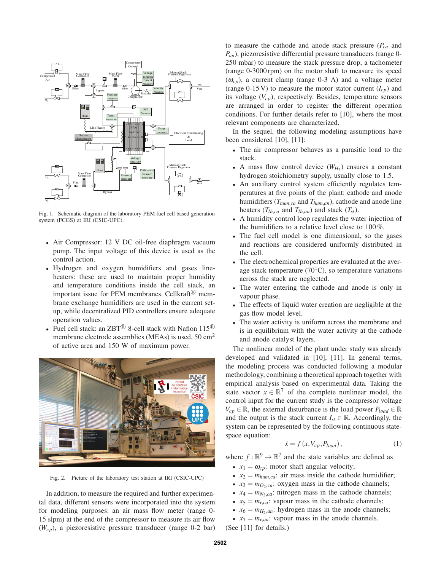

Fig. 1. Schematic diagram of the laboratory PEM fuel cell based generation system (FCGS) at IRI (CSIC-UPC).

- Air Compressor: 12 V DC oil-free diaphragm vacuum pump. The input voltage of this device is used as the control action.
- Hydrogen and oxygen humidifiers and gases lineheaters: these are used to maintain proper humidity and temperature conditions inside the cell stack, an important issue for PEM membranes. Cellkraft® membrane exchange humidifiers are used in the current setup, while decentralized PID controllers ensure adequate operation values.
- Fuel cell stack: an  $ZBT^{\textcircled{B}}$  8-cell stack with Nafion 115<sup> $\textcircled{B}$ </sup> membrane electrode assemblies (MEAs) is used, 50 cm<sup>2</sup> of active area and 150 W of maximum power.



Fig. 2. Picture of the laboratory test station at IRI (CSIC-UPC)

In addition, to measure the required and further experimental data, different sensors were incorporated into the system for modeling purposes: an air mass flow meter (range 0- 15 slpm) at the end of the compressor to measure its air flow (*Wcp*), a piezoresistive pressure transducer (range 0-2 bar) to measure the cathode and anode stack pressure (*Pca* and *Pan*), piezoresistive differential pressure transducers (range 0- 250 mbar) to measure the stack pressure drop, a tachometer (range 0-3000 rpm) on the motor shaft to measure its speed  $(\omega_{cp})$ , a current clamp (range 0-3 A) and a voltage meter (range 0-15 V) to measure the motor stator current  $(I_{cp})$  and its voltage (*Vcp*), respectively. Besides, temperature sensors are arranged in order to register the different operation conditions. For further details refer to [10], where the most relevant components are characterized.

In the sequel, the following modeling assumptions have been considered [10], [11]:

- The air compressor behaves as a parasitic load to the stack.
- A mass flow control device  $(W_{H_2})$  ensures a constant hydrogen stoichiometry supply, usually close to 1.5.
- An auxiliary control system efficiently regulates temperatures at five points of the plant: cathode and anode humidifiers (*Thum*,*ca* and *Thum*,*an*), cathode and anode line heaters  $(T_{lh,ca}$  and  $T_{lh,an}$ ) and stack  $(T_{st})$ .
- A humidity control loop regulates the water injection of the humidifiers to a relative level close to 100 %.
- The fuel cell model is one dimensional, so the gases and reactions are considered uniformly distributed in the cell.
- The electrochemical properties are evaluated at the average stack temperature ( $70^{\circ}$ C), so temperature variations across the stack are neglected.
- The water entering the cathode and anode is only in vapour phase.
- The effects of liquid water creation are negligible at the gas flow model level.
- The water activity is uniform across the membrane and is in equilibrium with the water activity at the cathode and anode catalyst layers.

The nonlinear model of the plant under study was already developed and validated in [10], [11]. In general terms, the modeling process was conducted following a modular methodology, combining a theoretical approach together with empirical analysis based on experimental data. Taking the state vector  $x \in \mathbb{R}^7$  of the complete nonlinear model, the control input for the current study is the compressor voltage  $V_{cp} \in \mathbb{R}$ , the external disturbance is the load power  $P_{load} \in \mathbb{R}$ and the output is the stack current  $I_{st} \in \mathbb{R}$ . Accordingly, the system can be represented by the following continuous statespace equation:

$$
\dot{x} = f(x, V_{cp}, P_{load}),\tag{1}
$$

where  $f : \mathbb{R}^9 \to \mathbb{R}^7$  and the state variables are defined as

- $x_1 = \omega_{cp}$ : motor shaft angular velocity;
- $x_2 = m_{hum,ca}$ : air mass inside the cathode humidifier;
- $x_3 = m_{O_2,ca}$ : oxygen mass in the cathode channels;
- $x_4 = m_{N_2,ca}$ : nitrogen mass in the cathode channels;
- $x_5 = m_{v,ca}$ : vapour mass in the cathode channels;
- $x_6 = m_{H_2, an}$ : hydrogen mass in the anode channels;
- $x_7 = m_{v,an}$ : vapour mass in the anode channels.

(See [11] for details.)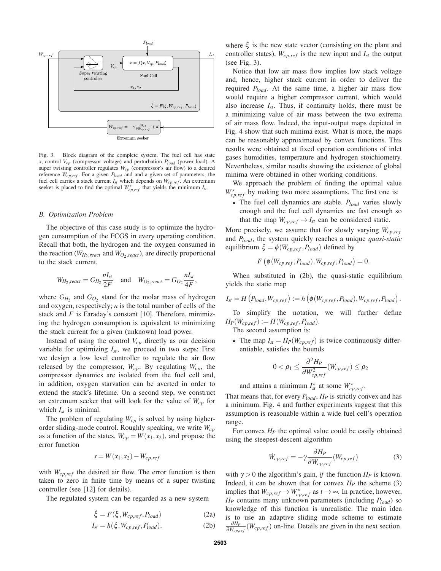

Fig. 3. Block diagram of the complete system. The fuel cell has state *x*, control  $V_{cp}$  (compressor voltage) and perturbation  $P_{load}$  (power load). A super twisting controller regulates  $W_{cp}$  (compressor's air flow) to a desired reference  $W_{cp,ref}$ . For a given  $P_{load}$  and and a given set of parameters, the fuel cell carries a stack current  $I_{st}$  which depends on  $W_{cp,ref}$ . An extremum seeker is placed to find the optimal  $W_{cp,ref}^*$  that yields the minimum  $I_{st}$ .

#### *B. Optimization Problem*

The objective of this case study is to optimize the hydrogen consumption of the FCGS in every operating condition. Recall that both, the hydrogen and the oxygen consumed in the reaction ( $W_{H_2, react}$  and  $W_{O_2,react}$ ), are directly proportional to the stack current,

$$
W_{H_2,react} = G_{H_2} \frac{nI_{st}}{2F} \quad \text{and} \quad W_{O_2,react} = G_{O_2} \frac{nI_{st}}{4F},
$$

where  $G_{H_2}$  and  $G_{O_2}$  stand for the molar mass of hydrogen and oxygen, respectively; *n* is the total number of cells of the stack and *F* is Faraday's constant [10]. Therefore, minimizing the hydrogen consumption is equivalent to minimizing the stack current for a given (unknown) load power.

Instead of using the control  $V_{cp}$  directly as our decision variable for optimizing  $I_{st}$ , we proceed in two steps: First we design a low level controller to regulate the air flow released by the compressor, *Wcp*. By regulating *Wcp*, the compressor dynamics are isolated from the fuel cell and, in addition, oxygen starvation can be averted in order to extend the stack's lifetime. On a second step, we construct an extremum seeker that will look for the value of  $W_{cp}$  for which  $I_{st}$  is minimal.

The problem of regulating *Wcp* is solved by using higherorder sliding-mode control. Roughly speaking, we write *Wcp* as a function of the states,  $W_{cp} = W(x_1, x_2)$ , and propose the error function

$$
s = W(x_1, x_2) - W_{cp,ref}
$$

with  $W_{cp,ref}$  the desired air flow. The error function is then taken to zero in finite time by means of a super twisting controller (see [12] for details).

The regulated system can be regarded as a new system

$$
\dot{\xi} = F(\xi, W_{cp,ref}, P_{load})
$$
 (2a)

$$
I_{st} = h(\xi, W_{cp,ref}, P_{load}), \qquad (2b)
$$

where  $\xi$  is the new state vector (consisting on the plant and controller states),  $W_{cp,ref}$  is the new input and  $I_{st}$  the output (see Fig. 3).

Notice that low air mass flow implies low stack voltage and, hence, higher stack current in order to deliver the required *Pload*. At the same time, a higher air mass flow would require a higher compressor current, which would also increase  $I_{st}$ . Thus, if continuity holds, there must be a minimizing value of air mass between the two extrema of air mass flow. Indeed, the input-output maps depicted in Fig. 4 show that such minima exist. What is more, the maps can be reasonably approximated by convex functions. This results were obtained at fixed operation conditions of inlet gases humidities, temperature and hydrogen stoichiometry. Nevertheless, similar results showing the existence of global minima were obtained in other working conditions.

We approach the problem of finding the optimal value  $W_{cp,ref}^{\star}$  by making two more assumptions. The first one is:

• The fuel cell dynamics are stable. *Pload* varies slowly enough and the fuel cell dynamics are fast enough so that the map  $W_{cp,ref} \mapsto I_{st}$  can be considered static.

More precisely, we assume that for slowly varying  $W_{c,p,ref}$ and *Pload*, the system quickly reaches a unique *quasi-static* equilibrium  $\xi = \phi(W_{cp,ref}, P_{load})$  defined by

$$
F\left(\phi(W_{cp,ref}, P_{load}), W_{cp,ref}, P_{load}\right) = 0.
$$

When substituted in (2b), the quasi-static equilibrium yields the static map

$$
I_{st} = H(P_{load}, W_{cp,ref}) := h(\phi(W_{cp,ref}, P_{load}), W_{cp,ref}, P_{load}).
$$

To simplify the notation, we will further define  $H_P(W_{cp,ref}) := H(W_{cp,ref}, P_{load}).$ 

The second assumption is:

• The map  $I_{st} = H_P(W_{cp,ref})$  is twice continuously differentiable, satisfies the bounds

$$
0<\rho_1\leq \frac{\partial^2 H_P}{\partial W_{cp,ref}^2}(W_{cp,ref})\leq \rho_2
$$

and attains a minimum  $I_{st}^{\star}$  at some  $W_{cp,ref}^{\star}$ .

That means that, for every *Pload*, *H<sup>P</sup>* is strictly convex and has a minimum. Fig. 4 and further experiments suggest that this assumption is reasonable within a wide fuel cell's operation range.

For convex *H<sup>P</sup>* the optimal value could be easily obtained using the steepest-descent algorithm

$$
\dot{W}_{cp,ref} = -\gamma \frac{\partial H_P}{\partial W_{cp,ref}} (W_{cp,ref})
$$
\n(3)

with  $\gamma > 0$  the algorithm's gain, *if* the function  $H_P$  is known. Indeed, it can be shown that for convex  $H_P$  the scheme (3) implies that  $W_{cp,ref} \to W_{cp,ref}^*$  as  $t \to \infty$ . In practice, however, *H<sup>P</sup>* contains many unknown parameters (including *Pload*) so knowledge of this function is unrealistic. The main idea is to use an adaptive sliding mode scheme to estimate <sup>∂</sup>*HP*  $\frac{\partial H_P}{\partial W_{cp,ref}}(W_{cp,ref})$  on-line. Details are given in the next section.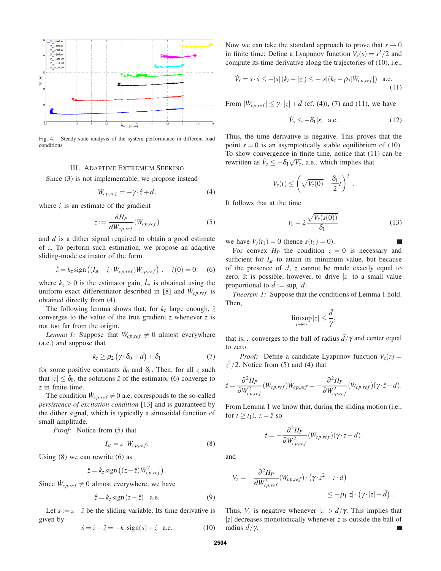

Fig. 4. Steady-state analysis of the system performance in different load conditions

## III. ADAPTIVE EXTREMUM SEEKING

Since (3) is not implementable, we propose instead

$$
\dot{W}_{cp,ref} = -\gamma \cdot \hat{z} + d,\tag{4}
$$

where  $\hat{z}$  is an estimate of the gradient

$$
z := \frac{\partial H_P}{\partial W_{cp,ref}} (W_{cp,ref})
$$
\n<sup>(5)</sup>

and *d* is a dither signal required to obtain a good estimate of *z*. To perform such estimation, we propose an adaptive sliding-mode estimator of the form

$$
\dot{\hat{z}} = k_z \operatorname{sign}((\dot{I}_{st} - \hat{z} \cdot \dot{W}_{cp,ref}) \dot{W}_{cp,ref}), \quad \hat{z}(0) = 0, \quad (6)
$$

where  $k_z > 0$  is the estimator gain,  $I_{st}$  is obtained using the uniform exact differentiator described in [8] and  $\dot{W}_{cp,ref}$  is obtained directly from (4).

The following lemma shows that, for  $k_z$  large enough,  $\hat{z}$ converges to the value of the true gradient *z* whenever *z* is not too far from the origin.

*Lemma 1:* Suppose that  $\dot{W}_{cp,ref} \neq 0$  almost everywhere (a.e.) and suppose that

$$
k_{z} \geq \rho_{2} \left( \gamma \cdot \delta_{0} + \bar{d} \right) + \delta_{1} \tag{7}
$$

for some positive constants  $\delta_0$  and  $\delta_1$ . Then, for all *z* such that  $|z| \leq \delta_0$ , the solutions  $\hat{z}$  of the estimator (6) converge to *z* in finite time.

The condition  $W_{cp,ref} \neq 0$  a.e. corresponds to the so-called *persistence of excitation condition* [13] and is guaranteed by the dither signal, which is typically a sinusoidal function of small amplitude.

*Proof:* Notice from (5) that

$$
\dot{I}_{st} = z \cdot \dot{W}_{cp,ref}.
$$
 (8)

Using  $(8)$  we can rewrite  $(6)$  as

$$
\dot{\hat{z}} = k_z \operatorname{sign} ((z - \hat{z}) \dot{W}_{cp,ref}^2).
$$

Since  $\dot{W}_{cp,ref} \neq 0$  almost everywhere, we have

$$
\dot{\hat{z}} = k_z \operatorname{sign}(z - \hat{z}) \quad \text{a.e.} \tag{9}
$$

Let  $s := z - \hat{z}$  be the sliding variable. Its time derivative is given by

$$
\dot{s} = \dot{z} - \dot{\hat{z}} = -k_z \text{sign}(s) + \dot{z} \quad \text{a.e.} \tag{10}
$$

Now we can take the standard approach to prove that  $s \to 0$ in finite time: Define a Lyapunov function  $V_s(s) = s^2/2$  and compute its time derivative along the trajectories of (10), i.e.,

$$
\dot{V}_s = s \cdot \dot{s} \le -|s| (k_z - |\dot{z}|) \le -|s| (k_z - \rho_2 | \dot{W}_{cp,ref}|) \text{ a.e.}
$$
\n(11)

From  $|\dot{W}_{cp,ref}| \leq \gamma \cdot |z| + \bar{d}$  (cf. (4)), (7) and (11), we have

$$
\dot{V}_s \le -\delta_1 |s| \quad \text{a.e.} \tag{12}
$$

Thus, the time derivative is negative. This proves that the point  $s = 0$  is an asymptotically stable equilibrium of (10). To show convergence in finite time, notice that (11) can be rewritten as  $\dot{V}_s \leq -\delta_1 \sqrt{V_s}$ , a.e., which implies that

$$
V_s(t) \leq \left(\sqrt{V_s(0)} - \frac{\delta_1}{2}t\right)^2.
$$

It follows that at the time

$$
t_1 = 2 \frac{\sqrt{V_s(s(0))}}{\delta_1} \tag{13}
$$

we have  $V_s(t_1) = 0$  (hence  $s(t_1) = 0$ ).

For convex  $H_P$  the condition  $z = 0$  is necessary and sufficient for  $I_{st}$  to attain its minimum value, but because of the presence of *d*, *z* cannot be made exactly equal to zero. It is possible, however, to drive  $|z|$  to a small value proportional to  $\bar{d} := \sup_t |d|$ .

*Theorem 1:* Suppose that the conditions of Lemma 1 hold. Then,

$$
\limsup_{t\to\infty}|z|\leq\frac{\bar d}{\gamma},
$$

that is, *z* converges to the ball of radius  $d/\gamma$  and center equal to zero.

*Proof:* Define a candidate Lyapunov function  $V_z(z)$  =  $z^2/2$ . Notice from (5) and (4) that

$$
\dot{z} = \frac{\partial^2 H_P}{\partial W_{cp,ref}^2} (W_{cp,ref}) \dot{W}_{cp,ref} = -\frac{\partial^2 H_P}{\partial W_{cp,ref}^2} (W_{cp,ref}) (\gamma \cdot \hat{z} - d).
$$

From Lemma 1 we know that, during the sliding motion (i.e., for  $t \geq t_1$ ),  $z = \hat{z}$  so

$$
\dot{z} = -\frac{\partial^2 H_P}{\partial W_{cp,ref}^2} (W_{cp,ref}) (\gamma \cdot z - d).
$$

and

$$
\dot{V}_z = -\frac{\partial^2 H_P}{\partial W_{cp,ref}^2} (W_{cp,ref}) \cdot (\gamma \cdot z^2 - z \cdot d)
$$
\n
$$
\leq -\rho_1 |z| \cdot (\gamma \cdot |z| - d) .
$$

Thus,  $\dot{V}_z$  is negative whenever  $|z| > \bar{d}/\gamma$ . This implies that |*z*| decreases monotonically whenever *z* is outside the ball of radius  $\bar{d}/\gamma$ . radius  $d/\gamma$ .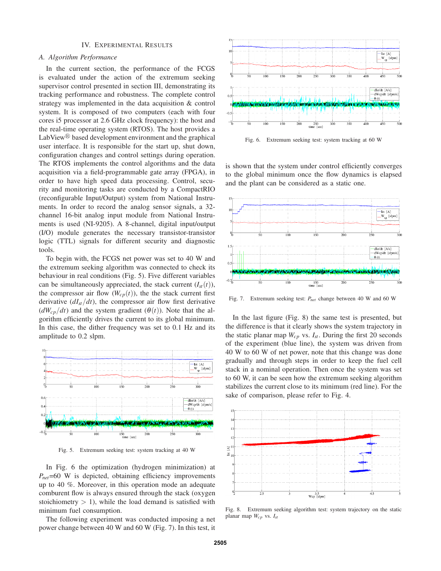### IV. EXPERIMENTAL RESULTS

## *A. Algorithm Performance*

In the current section, the performance of the FCGS is evaluated under the action of the extremum seeking supervisor control presented in section III, demonstrating its tracking performance and robustness. The complete control strategy was implemented in the data acquisition & control system. It is composed of two computers (each with four cores i5 processor at 2.6 GHz clock frequency): the host and the real-time operating system (RTOS). The host provides a LabView $\mathbb B$  based development environment and the graphical user interface. It is responsible for the start up, shut down, configuration changes and control settings during operation. The RTOS implements the control algorithms and the data acquisition via a field-programmable gate array (FPGA), in order to have high speed data processing. Control, security and monitoring tasks are conducted by a CompactRIO (reconfigurable Input/Output) system from National Instruments. In order to record the analog sensor signals, a 32 channel 16-bit analog input module from National Instruments is used (NI-9205). A 8-channel, digital input/output (I/O) module generates the necessary transistor-transistor logic (TTL) signals for different security and diagnostic tools.

To begin with, the FCGS net power was set to 40 W and the extremum seeking algorithm was connected to check its behaviour in real conditions (Fig. 5). Five different variables can be simultaneously appreciated, the stack current  $(I_{st}(t))$ , the compressor air flow  $(W_{cp}(t))$ , the the stack current first derivative  $\left(dI_{st}/dt\right)$ , the compressor air flow first derivative  $(dW_{cp}/dt)$  and the system gradient  $(\theta(t))$ . Note that the algorithm efficiently drives the current to its global minimum. In this case, the dither frequency was set to 0.1 Hz and its amplitude to 0.2 slpm.



Fig. 5. Extremum seeking test: system tracking at 40 W

In Fig. 6 the optimization (hydrogen minimization) at *Pnet*=60 W is depicted, obtaining efficiency improvements up to 40 %. Moreover, in this operation mode an adequate comburent flow is always ensured through the stack (oxygen stoichiometry  $> 1$ ), while the load demand is satisfied with minimum fuel consumption.

The following experiment was conducted imposing a net power change between 40 W and 60 W (Fig. 7). In this test, it



Fig. 6. Extremum seeking test: system tracking at 60 W

is shown that the system under control efficiently converges to the global minimum once the flow dynamics is elapsed and the plant can be considered as a static one.



Fig. 7. Extremum seeking test: *Pnet* change between 40 W and 60 W

In the last figure (Fig. 8) the same test is presented, but the difference is that it clearly shows the system trajectory in the static planar map  $W_{cp}$  vs.  $I_{st}$ . During the first 20 seconds of the experiment (blue line), the system was driven from 40 W to 60 W of net power, note that this change was done gradually and through steps in order to keep the fuel cell stack in a nominal operation. Then once the system was set to 60 W, it can be seen how the extremum seeking algorithm stabilizes the current close to its minimum (red line). For the sake of comparison, please refer to Fig. 4.



Fig. 8. Extremum seeking algorithm test: system trajectory on the static planar map *Wcp* vs. *Ist*